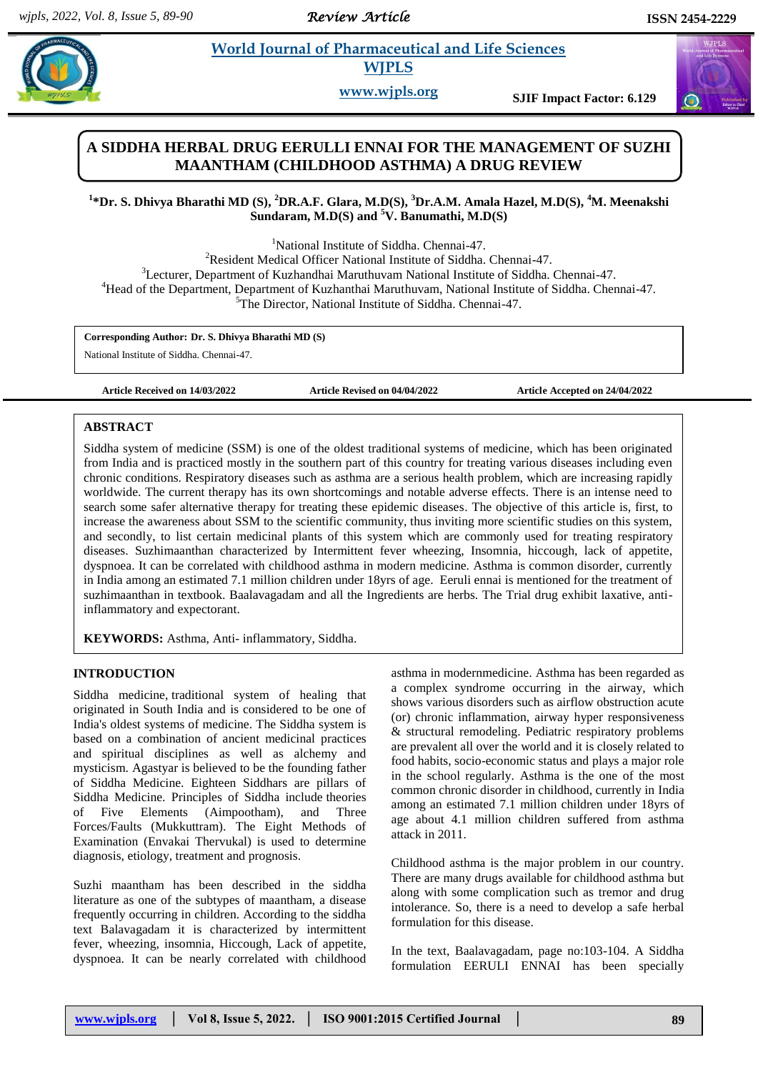*Review Article* 

# **Bharaceutical and Life Sciences WJPLS**

**www.wjpls.org SJIF Impact Factor: 6.129**

## **A SIDDHA HERBAL DRUG EERULLI ENNAI FOR THE MANAGEMENT OF SUZHI MAANTHAM (CHILDHOOD ASTHMA) A DRUG REVIEW**

## **1 \*Dr. S. Dhivya Bharathi MD (S), <sup>2</sup>DR.A.F. Glara, M.D(S), <sup>3</sup>Dr.A.M. Amala Hazel, M.D(S), <sup>4</sup>M. Meenakshi Sundaram, M.D(S) and <sup>5</sup>V. Banumathi, M.D(S)**

<sup>1</sup>National Institute of Siddha. Chennai-47.

<sup>2</sup>Resident Medical Officer National Institute of Siddha. Chennai-47. <sup>3</sup>Lecturer, Department of Kuzhandhai Maruthuvam National Institute of Siddha. Chennai-47. <sup>4</sup>Head of the Department, Department of Kuzhanthai Maruthuvam, National Institute of Siddha. Chennai-47. <sup>5</sup>The Director, National Institute of Siddha, Chennai-47.

**Corresponding Author: Dr. S. Dhivya Bharathi MD (S)**

National Institute of Siddha. Chennai-47.

**Article Received on 14/03/2022 Article Revised on 04/04/2022 Article Accepted on 24/04/2022**

## **ABSTRACT**

Siddha system of medicine (SSM) is one of the oldest traditional systems of medicine, which has been originated from India and is practiced mostly in the southern part of this country for treating various diseases including even chronic conditions. Respiratory diseases such as asthma are a serious health problem, which are increasing rapidly worldwide. The current therapy has its own shortcomings and notable adverse effects. There is an intense need to search some safer alternative therapy for treating these epidemic diseases. The objective of this article is, first, to increase the awareness about SSM to the scientific community, thus inviting more scientific studies on this system, and secondly, to list certain medicinal plants of this system which are commonly used for treating respiratory diseases. Suzhimaanthan characterized by Intermittent fever wheezing, Insomnia, hiccough, lack of appetite, dyspnoea. It can be correlated with childhood asthma in modern medicine. Asthma is common disorder, currently in India among an estimated 7.1 million children under 18yrs of age. Eeruli ennai is mentioned for the treatment of suzhimaanthan in textbook. Baalavagadam and all the Ingredients are herbs. The Trial drug exhibit laxative, antiinflammatory and expectorant.

**KEYWORDS:** Asthma, Anti- inflammatory, Siddha.

## **INTRODUCTION**

Siddha medicine, traditional system of healing that originated in South India and is considered to be one of India's oldest systems of medicine. The Siddha system is based on a combination of ancient medicinal practices and spiritual disciplines as well as alchemy and mysticism. Agastyar is believed to be the founding father of Siddha Medicine. Eighteen Siddhars are pillars of Siddha Medicine. Principles of Siddha include theories of Five Elements (Aimpootham), and Three Forces/Faults (Mukkuttram). The Eight Methods of Examination (Envakai Thervukal) is used to determine diagnosis, etiology, treatment and prognosis.

Suzhi maantham has been described in the siddha literature as one of the subtypes of maantham, a disease frequently occurring in children. According to the siddha text Balavagadam it is characterized by intermittent fever, wheezing, insomnia, Hiccough, Lack of appetite, dyspnoea. It can be nearly correlated with childhood

asthma in modernmedicine. Asthma has been regarded as a complex syndrome occurring in the airway, which shows various disorders such as airflow obstruction acute (or) chronic inflammation, airway hyper responsiveness & structural remodeling. Pediatric respiratory problems are prevalent all over the world and it is closely related to food habits, socio-economic status and plays a major role in the school regularly. Asthma is the one of the most common chronic disorder in childhood, currently in India among an estimated 7.1 million children under 18yrs of age about 4.1 million children suffered from asthma attack in 2011.

Childhood asthma is the major problem in our country. There are many drugs available for childhood asthma but along with some complication such as tremor and drug intolerance. So, there is a need to develop a safe herbal formulation for this disease.

In the text, Baalavagadam, page no:103-104. A Siddha formulation EERULI ENNAI has been specially